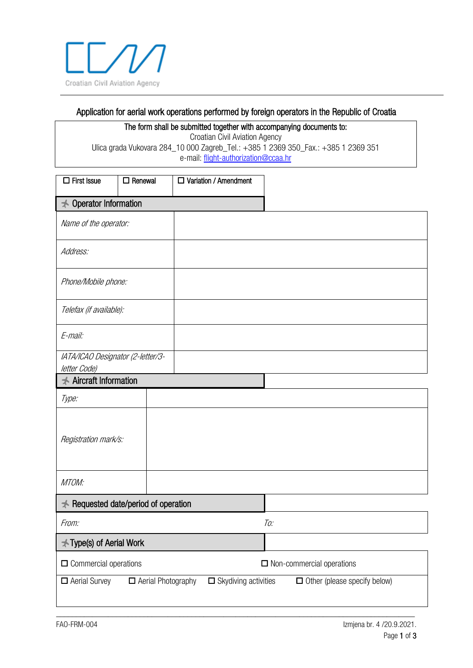

## Application for aerial work operations performed by foreign operators in the Republic of Croatia

The form shall be submitted together with accompanying documents to: Croatian Civil Aviation Agency Ulica grada Vukovara 284\_10 000 Zagreb\_Tel.: +385 1 2369 350\_Fax.: +385 1 2369 351 e-mail[: flight-authorization@ccaa.hr](mailto:flight-authorization@ccaa.hr)

| $\Box$ First Issue                                | $\Box$ Renewal     | □ Variation / Amendment     |                                     |  |  |  |
|---------------------------------------------------|--------------------|-----------------------------|-------------------------------------|--|--|--|
| Operator Information<br>★                         |                    |                             |                                     |  |  |  |
| Name of the operator:                             |                    |                             |                                     |  |  |  |
| Address:                                          |                    |                             |                                     |  |  |  |
| Phone/Mobile phone:                               |                    |                             |                                     |  |  |  |
| Telefax (if available):                           |                    |                             |                                     |  |  |  |
| E-mail:                                           |                    |                             |                                     |  |  |  |
| IATA/ICAO Designator (2-letter/3-<br>letter Code) |                    |                             |                                     |  |  |  |
| <b>★ Aircraft Information</b>                     |                    |                             |                                     |  |  |  |
| Type:                                             |                    |                             |                                     |  |  |  |
| Registration mark/s:                              |                    |                             |                                     |  |  |  |
| MTOM:                                             |                    |                             |                                     |  |  |  |
| <b>★ Requested date/period of operation</b>       |                    |                             |                                     |  |  |  |
| From:                                             |                    |                             | To:                                 |  |  |  |
| <b>★ Type(s) of Aerial Work</b>                   |                    |                             |                                     |  |  |  |
| $\Box$ Commercial operations                      |                    |                             | $\Box$ Non-commercial operations    |  |  |  |
| Aerial Survey                                     | Aerial Photography | $\Box$ Skydiving activities | $\Box$ Other (please specify below) |  |  |  |

\_\_\_\_\_\_\_\_\_\_\_\_\_\_\_\_\_\_\_\_\_\_\_\_\_\_\_\_\_\_\_\_\_\_\_\_\_\_\_\_\_\_\_\_\_\_\_\_\_\_\_\_\_\_\_\_\_\_\_\_\_\_\_\_\_\_\_\_\_\_\_\_\_\_\_\_\_\_\_\_\_\_\_\_\_\_\_\_\_\_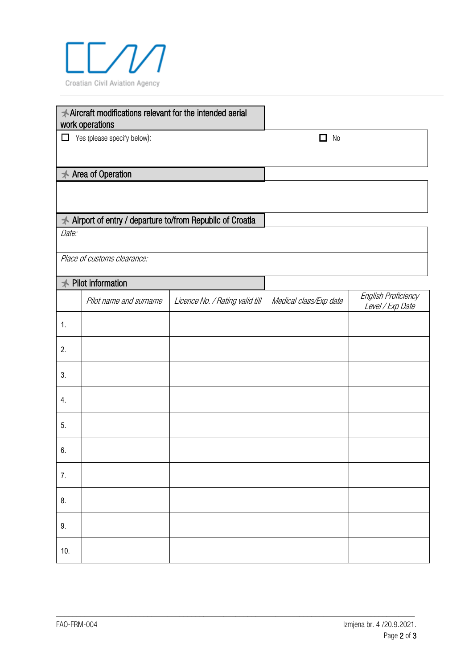

|                                                                     | Aircraft modifications relevant for the intended aerial<br>work operations |                                 |                        |                                         |
|---------------------------------------------------------------------|----------------------------------------------------------------------------|---------------------------------|------------------------|-----------------------------------------|
| $\Box$ Yes (please specify below):                                  |                                                                            |                                 | □<br>N <sub>0</sub>    |                                         |
|                                                                     |                                                                            |                                 |                        |                                         |
|                                                                     | <b>★ Area of Operation</b>                                                 |                                 |                        |                                         |
|                                                                     |                                                                            |                                 |                        |                                         |
| Airport of entry / departure to/from Republic of Croatia<br>$\star$ |                                                                            |                                 |                        |                                         |
| Date:                                                               |                                                                            |                                 |                        |                                         |
|                                                                     | Place of customs clearance:                                                |                                 |                        |                                         |
| $\star$                                                             | Pilot information                                                          |                                 |                        |                                         |
|                                                                     | Pilot name and surname                                                     | Licence No. / Rating valid till | Medical class/Exp date | English Proficiency<br>Level / Exp Date |
| 1.                                                                  |                                                                            |                                 |                        |                                         |
| 2.                                                                  |                                                                            |                                 |                        |                                         |
| 3.                                                                  |                                                                            |                                 |                        |                                         |
| 4.                                                                  |                                                                            |                                 |                        |                                         |
| 5.                                                                  |                                                                            |                                 |                        |                                         |
| 6.                                                                  |                                                                            |                                 |                        |                                         |
| 7.                                                                  |                                                                            |                                 |                        |                                         |
| 8.                                                                  |                                                                            |                                 |                        |                                         |
| 9.                                                                  |                                                                            |                                 |                        |                                         |
| 10.                                                                 |                                                                            |                                 |                        |                                         |

\_\_\_\_\_\_\_\_\_\_\_\_\_\_\_\_\_\_\_\_\_\_\_\_\_\_\_\_\_\_\_\_\_\_\_\_\_\_\_\_\_\_\_\_\_\_\_\_\_\_\_\_\_\_\_\_\_\_\_\_\_\_\_\_\_\_\_\_\_\_\_\_\_\_\_\_\_\_\_\_\_\_\_\_\_\_\_\_\_\_